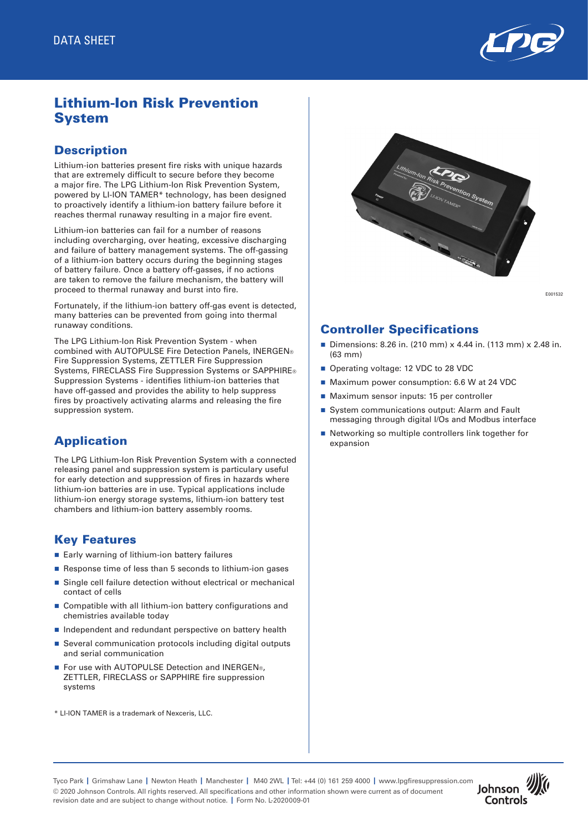

# Lithium-Ion Risk Prevention System

## **Description**

Lithium-ion batteries present fire risks with unique hazards that are extremely difficult to secure before they become a major fire. The LPG Lithium-Ion Risk Prevention System, powered by LI-ION TAMER\* technology, has been designed to proactively identify a lithium-ion battery failure before it reaches thermal runaway resulting in a major fire event.

Lithium-ion batteries can fail for a number of reasons including overcharging, over heating, excessive discharging and failure of battery management systems. The off-gassing of a lithium-ion battery occurs during the beginning stages of battery failure. Once a battery off-gasses, if no actions are taken to remove the failure mechanism, the battery will proceed to thermal runaway and burst into fire.

Fortunately, if the lithium-ion battery off-gas event is detected, many batteries can be prevented from going into thermal runaway conditions.

The LPG Lithium-Ion Risk Prevention System - when combined with AUTOPULSE Fire Detection Panels, INERGEN® Fire Suppression Systems, ZETTLER Fire Suppression Systems, FIRECLASS Fire Suppression Systems or SAPPHIRE® Suppression Systems - identifies lithium-ion batteries that have off-gassed and provides the ability to help suppress fires by proactively activating alarms and releasing the fire suppression system.

# Application

The LPG Lithium-Ion Risk Prevention System with a connected releasing panel and suppression system is particulary useful for early detection and suppression of fires in hazards where lithium-ion batteries are in use. Typical applications include lithium-ion energy storage systems, lithium-ion battery test chambers and lithium-ion battery assembly rooms.

## Key Features

- $\blacksquare$  Early warning of lithium-ion battery failures
- Response time of less than 5 seconds to lithium-ion gases
- Single cell failure detection without electrical or mechanical contact of cells
- Compatible with all lithium-ion battery configurations and chemistries available today
- n Independent and redundant perspective on battery health
- Several communication protocols including digital outputs and serial communication
- For use with AUTOPULSE Detection and INERGEN®, ZETTLER, FIRECLASS or SAPPHIRE fire suppression systems
- \* LI-ION TAMER is a trademark of Nexceris, LLC.



E001532

## Controller Specifications

- Dimensions: 8.26 in. (210 mm)  $x$  4.44 in. (113 mm)  $x$  2.48 in. (63 mm)
- Operating voltage: 12 VDC to 28 VDC
- Maximum power consumption: 6.6 W at 24 VDC
- Maximum sensor inputs: 15 per controller
- System communications output: Alarm and Fault messaging through digital I/Os and Modbus interface
- Networking so multiple controllers link together for expansion